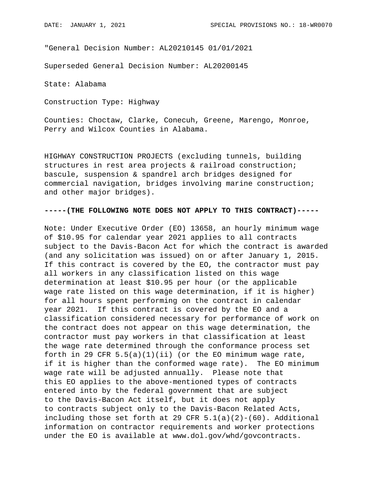"General Decision Number: AL20210145 01/01/2021

Superseded General Decision Number: AL20200145

State: Alabama

Construction Type: Highway

Counties: Choctaw, Clarke, Conecuh, Greene, Marengo, Monroe, Perry and Wilcox Counties in Alabama.

HIGHWAY CONSTRUCTION PROJECTS (excluding tunnels, building structures in rest area projects & railroad construction; bascule, suspension & spandrel arch bridges designed for commercial navigation, bridges involving marine construction; and other major bridges).

## **-----(THE FOLLOWING NOTE DOES NOT APPLY TO THIS CONTRACT)-----**

Note: Under Executive Order (EO) 13658, an hourly minimum wage of \$10.95 for calendar year 2021 applies to all contracts subject to the Davis-Bacon Act for which the contract is awarded (and any solicitation was issued) on or after January 1, 2015. If this contract is covered by the EO, the contractor must pay all workers in any classification listed on this wage determination at least \$10.95 per hour (or the applicable wage rate listed on this wage determination, if it is higher) for all hours spent performing on the contract in calendar year 2021. If this contract is covered by the EO and a classification considered necessary for performance of work on the contract does not appear on this wage determination, the contractor must pay workers in that classification at least the wage rate determined through the conformance process set forth in 29 CFR  $5.5(a)(1)(ii)$  (or the EO minimum wage rate, if it is higher than the conformed wage rate). The EO minimum wage rate will be adjusted annually. Please note that this EO applies to the above-mentioned types of contracts entered into by the federal government that are subject to the Davis-Bacon Act itself, but it does not apply to contracts subject only to the Davis-Bacon Related Acts, including those set forth at 29 CFR  $5.1(a)(2)-(60)$ . Additional information on contractor requirements and worker protections under the EO is available at www.dol.gov/whd/govcontracts.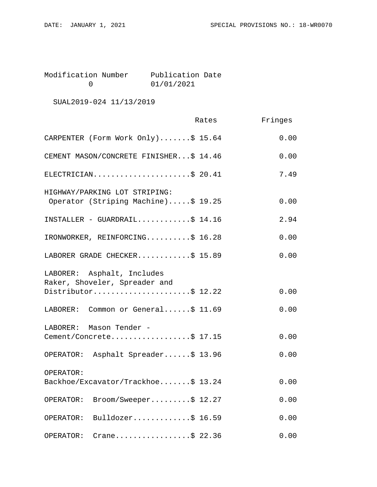Modification Number Publication Date<br>0 01/01/2021 0 01/01/2021

SUAL2019-024 11/13/2019

|                                                                      | Rates | Fringes |
|----------------------------------------------------------------------|-------|---------|
| CARPENTER (Form Work Only)\$ 15.64                                   |       | 0.00    |
| CEMENT MASON/CONCRETE FINISHER\$ 14.46                               |       | 0.00    |
| ELECTRICIAN\$ 20.41                                                  |       | 7.49    |
| HIGHWAY/PARKING LOT STRIPING:<br>Operator (Striping Machine)\$ 19.25 |       | 0.00    |
| INSTALLER - GUARDRAIL\$ $14.16$                                      |       | 2.94    |
| IRONWORKER, REINFORCING\$ 16.28                                      |       | 0.00    |
| LABORER GRADE CHECKER\$ 15.89                                        |       | 0.00    |
| LABORER: Asphalt, Includes<br>Raker, Shoveler, Spreader and          |       |         |
| Distributor\$ 12.22                                                  |       | 0.00    |
| LABORER: Common or General\$ 11.69                                   |       | 0.00    |
| LABORER: Mason Tender -                                              |       |         |
| Cement/Concrete\$ 17.15                                              |       | 0.00    |
| OPERATOR: Asphalt Spreader\$ 13.96                                   |       | 0.00    |
| OPERATOR:                                                            |       |         |
| Backhoe/Excavator/Trackhoe\$ 13.24                                   |       | 0.00    |
| $\texttt{Broom/Sweeper} \ldots \ldots \ddot{S} 12.27$<br>OPERATOR:   |       | 0.00    |
| Bulldozer\$ 16.59<br>OPERATOR:                                       |       | 0.00    |
| Crane\$ 22.36<br>OPERATOR:                                           |       | 0.00    |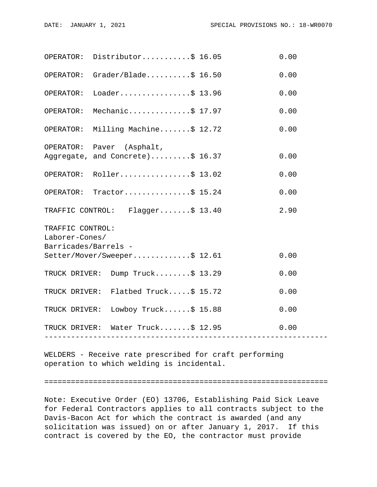|                                        | OPERATOR: Distributor\$ 16.05       | 0.00 |  |
|----------------------------------------|-------------------------------------|------|--|
|                                        | OPERATOR: $Grader/Blade$ $$ 16.50$  | 0.00 |  |
| OPERATOR:                              | Loader\$ 13.96                      | 0.00 |  |
| OPERATOR:                              | Mechanic\$ 17.97                    | 0.00 |  |
|                                        | OPERATOR: Milling Machine\$ 12.72   | 0.00 |  |
|                                        | OPERATOR: Paver (Asphalt,           |      |  |
|                                        | Aggregate, and Concrete)\$ 16.37    | 0.00 |  |
|                                        | OPERATOR: Roller\$ 13.02            | 0.00 |  |
|                                        | OPERATOR: Tractor\$ 15.24           | 0.00 |  |
|                                        | TRAFFIC CONTROL: Flagger\$ 13.40    | 2.90 |  |
| TRAFFIC CONTROL:                       |                                     |      |  |
| Laborer-Cones/<br>Barricades/Barrels - |                                     |      |  |
|                                        | Setter/Mover/Sweeper\$ 12.61        | 0.00 |  |
|                                        | TRUCK DRIVER: Dump Truck\$ 13.29    | 0.00 |  |
|                                        | TRUCK DRIVER: Flatbed Truck\$ 15.72 | 0.00 |  |
|                                        | TRUCK DRIVER: Lowboy Truck\$ 15.88  | 0.00 |  |
|                                        | TRUCK DRIVER: Water Truck\$ 12.95   | 0.00 |  |
|                                        | -----------------                   |      |  |

WELDERS - Receive rate prescribed for craft performing operation to which welding is incidental.

================================================================

Note: Executive Order (EO) 13706, Establishing Paid Sick Leave for Federal Contractors applies to all contracts subject to the Davis-Bacon Act for which the contract is awarded (and any solicitation was issued) on or after January 1, 2017. If this contract is covered by the EO, the contractor must provide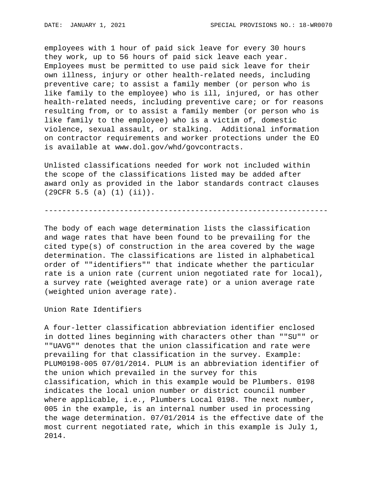employees with 1 hour of paid sick leave for every 30 hours they work, up to 56 hours of paid sick leave each year. Employees must be permitted to use paid sick leave for their own illness, injury or other health-related needs, including preventive care; to assist a family member (or person who is like family to the employee) who is ill, injured, or has other health-related needs, including preventive care; or for reasons resulting from, or to assist a family member (or person who is like family to the employee) who is a victim of, domestic violence, sexual assault, or stalking. Additional information on contractor requirements and worker protections under the EO is available at www.dol.gov/whd/govcontracts.

Unlisted classifications needed for work not included within the scope of the classifications listed may be added after award only as provided in the labor standards contract clauses (29CFR 5.5 (a) (1) (ii)).

----------------------------------------------------------------

The body of each wage determination lists the classification and wage rates that have been found to be prevailing for the cited type(s) of construction in the area covered by the wage determination. The classifications are listed in alphabetical order of ""identifiers"" that indicate whether the particular rate is a union rate (current union negotiated rate for local), a survey rate (weighted average rate) or a union average rate (weighted union average rate).

Union Rate Identifiers

A four-letter classification abbreviation identifier enclosed in dotted lines beginning with characters other than ""SU"" or ""UAVG"" denotes that the union classification and rate were prevailing for that classification in the survey. Example: PLUM0198-005 07/01/2014. PLUM is an abbreviation identifier of the union which prevailed in the survey for this classification, which in this example would be Plumbers. 0198 indicates the local union number or district council number where applicable, i.e., Plumbers Local 0198. The next number, 005 in the example, is an internal number used in processing the wage determination. 07/01/2014 is the effective date of the most current negotiated rate, which in this example is July 1, 2014.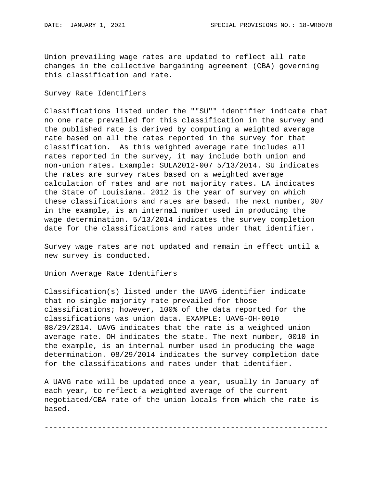Union prevailing wage rates are updated to reflect all rate changes in the collective bargaining agreement (CBA) governing this classification and rate.

## Survey Rate Identifiers

Classifications listed under the ""SU"" identifier indicate that no one rate prevailed for this classification in the survey and the published rate is derived by computing a weighted average rate based on all the rates reported in the survey for that classification. As this weighted average rate includes all rates reported in the survey, it may include both union and non-union rates. Example: SULA2012-007 5/13/2014. SU indicates the rates are survey rates based on a weighted average calculation of rates and are not majority rates. LA indicates the State of Louisiana. 2012 is the year of survey on which these classifications and rates are based. The next number, 007 in the example, is an internal number used in producing the wage determination. 5/13/2014 indicates the survey completion date for the classifications and rates under that identifier.

Survey wage rates are not updated and remain in effect until a new survey is conducted.

Union Average Rate Identifiers

Classification(s) listed under the UAVG identifier indicate that no single majority rate prevailed for those classifications; however, 100% of the data reported for the classifications was union data. EXAMPLE: UAVG-OH-0010 08/29/2014. UAVG indicates that the rate is a weighted union average rate. OH indicates the state. The next number, 0010 in the example, is an internal number used in producing the wage determination. 08/29/2014 indicates the survey completion date for the classifications and rates under that identifier.

A UAVG rate will be updated once a year, usually in January of each year, to reflect a weighted average of the current negotiated/CBA rate of the union locals from which the rate is based.

----------------------------------------------------------------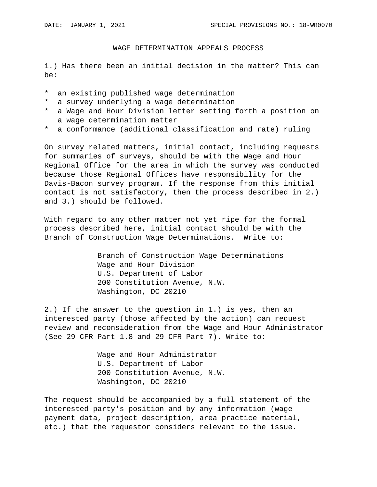## WAGE DETERMINATION APPEALS PROCESS

1.) Has there been an initial decision in the matter? This can be:

- \* an existing published wage determination
- \* a survey underlying a wage determination
- \* a Wage and Hour Division letter setting forth a position on a wage determination matter
- \* a conformance (additional classification and rate) ruling

On survey related matters, initial contact, including requests for summaries of surveys, should be with the Wage and Hour Regional Office for the area in which the survey was conducted because those Regional Offices have responsibility for the Davis-Bacon survey program. If the response from this initial contact is not satisfactory, then the process described in 2.) and 3.) should be followed.

With regard to any other matter not yet ripe for the formal process described here, initial contact should be with the Branch of Construction Wage Determinations. Write to:

> Branch of Construction Wage Determinations Wage and Hour Division U.S. Department of Labor 200 Constitution Avenue, N.W. Washington, DC 20210

2.) If the answer to the question in 1.) is yes, then an interested party (those affected by the action) can request review and reconsideration from the Wage and Hour Administrator (See 29 CFR Part 1.8 and 29 CFR Part 7). Write to:

> Wage and Hour Administrator U.S. Department of Labor 200 Constitution Avenue, N.W. Washington, DC 20210

The request should be accompanied by a full statement of the interested party's position and by any information (wage payment data, project description, area practice material, etc.) that the requestor considers relevant to the issue.